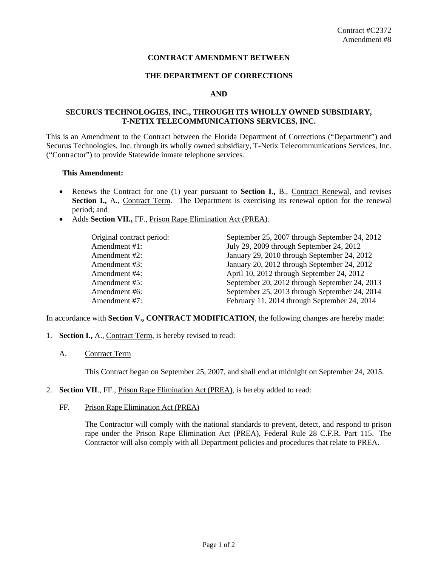# **CONTRACT AMENDMENT BETWEEN**

#### **THE DEPARTMENT OF CORRECTIONS**

### **AND**

# **SECURUS TECHNOLOGIES, INC., THROUGH ITS WHOLLY OWNED SUBSIDIARY, T-NETIX TELECOMMUNICATIONS SERVICES, INC.**

This is an Amendment to the Contract between the Florida Department of Corrections ("Department") and Securus Technologies, Inc. through its wholly owned subsidiary, T-Netix Telecommunications Services, Inc. ("Contractor") to provide Statewide inmate telephone services*.*

#### **This Amendment:**

- Renews the Contract for one (1) year pursuant to **Section I.,** B., Contract Renewal, and revises **Section I.,** A., Contract Term. The Department is exercising its renewal option for the renewal period; and
- Adds **Section VII.,** FF., Prison Rape Elimination Act (PREA).

| September 25, 2007 through September 24, 2012 |
|-----------------------------------------------|
|                                               |
| July 29, 2009 through September 24, 2012      |
| January 29, 2010 through September 24, 2012   |
| January 20, 2012 through September 24, 2012   |
| April 10, 2012 through September 24, 2012     |
| September 20, 2012 through September 24, 2013 |
| September 25, 2013 through September 24, 2014 |
| February 11, 2014 through September 24, 2014  |
|                                               |

In accordance with **Section V., CONTRACT MODIFICATION**, the following changes are hereby made:

- 1. **Section I.,** A., Contract Term, is hereby revised to read:
	- A. Contract Term

This Contract began on September 25, 2007, and shall end at midnight on September 24, 2015.

- 2. **Section VII**., FF., Prison Rape Elimination Act (PREA), is hereby added to read:
	- FF. Prison Rape Elimination Act (PREA)

The Contractor will comply with the national standards to prevent, detect, and respond to prison rape under the Prison Rape Elimination Act (PREA), Federal Rule 28 C.F.R. Part 115. The Contractor will also comply with all Department policies and procedures that relate to PREA.